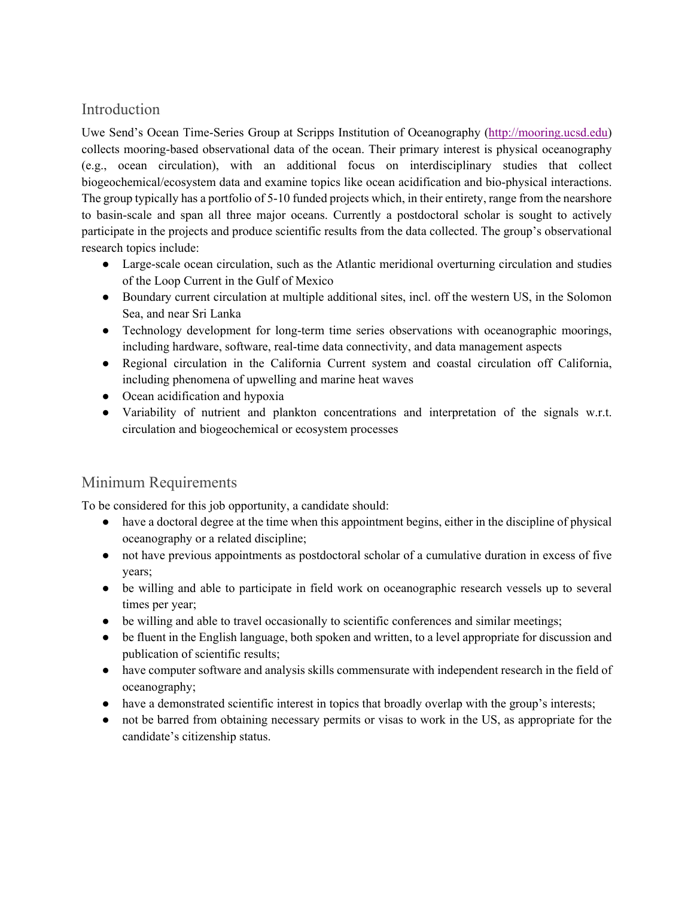## Introduction

Uwe Send's Ocean Time-Series Group at Scripps Institution of Oceanography (http://mooring.ucsd.edu) collects mooring-based observational data of the ocean. Their primary interest is physical oceanography (e.g., ocean circulation), with an additional focus on interdisciplinary studies that collect biogeochemical/ecosystem data and examine topics like ocean acidification and bio-physical interactions. The group typically has a portfolio of 5-10 funded projects which, in their entirety, range from the nearshore to basin-scale and span all three major oceans. Currently a postdoctoral scholar is sought to actively participate in the projects and produce scientific results from the data collected. The group's observational research topics include:

- Large-scale ocean circulation, such as the Atlantic meridional overturning circulation and studies of the Loop Current in the Gulf of Mexico
- Boundary current circulation at multiple additional sites, incl. off the western US, in the Solomon Sea, and near Sri Lanka
- Technology development for long-term time series observations with oceanographic moorings, including hardware, software, real-time data connectivity, and data management aspects
- Regional circulation in the California Current system and coastal circulation off California, including phenomena of upwelling and marine heat waves
- Ocean acidification and hypoxia
- Variability of nutrient and plankton concentrations and interpretation of the signals w.r.t. circulation and biogeochemical or ecosystem processes

## Minimum Requirements

To be considered for this job opportunity, a candidate should:

- have a doctoral degree at the time when this appointment begins, either in the discipline of physical oceanography or a related discipline;
- not have previous appointments as postdoctoral scholar of a cumulative duration in excess of five years;
- be willing and able to participate in field work on oceanographic research vessels up to several times per year;
- be willing and able to travel occasionally to scientific conferences and similar meetings;
- be fluent in the English language, both spoken and written, to a level appropriate for discussion and publication of scientific results;
- have computer software and analysis skills commensurate with independent research in the field of oceanography;
- have a demonstrated scientific interest in topics that broadly overlap with the group's interests;
- not be barred from obtaining necessary permits or visas to work in the US, as appropriate for the candidate's citizenship status.